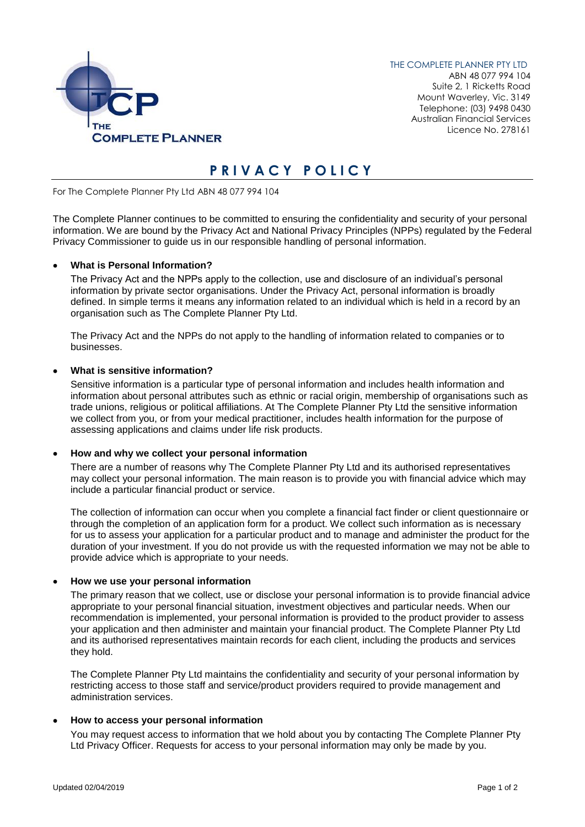

THE COMPLETE PLANNER PTY LTD ABN 48 077 994 104 Suite 2, 1 Ricketts Road Mount Waverley, Vic. 3149 Telephone: (03) 9498 0430 Australian Financial Services Licence No. 278161

# **P R I V A C Y P O L I C Y**

For The Complete Planner Pty Ltd ABN 48 077 994 104

The Complete Planner continues to be committed to ensuring the confidentiality and security of your personal information. We are bound by the Privacy Act and National Privacy Principles (NPPs) regulated by the Federal Privacy Commissioner to guide us in our responsible handling of personal information.

# • **What is Personal Information?**

The Privacy Act and the NPPs apply to the collection, use and disclosure of an individual's personal information by private sector organisations. Under the Privacy Act, personal information is broadly defined. In simple terms it means any information related to an individual which is held in a record by an organisation such as The Complete Planner Pty Ltd.

The Privacy Act and the NPPs do not apply to the handling of information related to companies or to businesses.

## • **What is sensitive information?**

Sensitive information is a particular type of personal information and includes health information and information about personal attributes such as ethnic or racial origin, membership of organisations such as trade unions, religious or political affiliations. At The Complete Planner Pty Ltd the sensitive information we collect from you, or from your medical practitioner, includes health information for the purpose of assessing applications and claims under life risk products.

## • **How and why we collect your personal information**

There are a number of reasons why The Complete Planner Pty Ltd and its authorised representatives may collect your personal information. The main reason is to provide you with financial advice which may include a particular financial product or service.

The collection of information can occur when you complete a financial fact finder or client questionnaire or through the completion of an application form for a product. We collect such information as is necessary for us to assess your application for a particular product and to manage and administer the product for the duration of your investment. If you do not provide us with the requested information we may not be able to provide advice which is appropriate to your needs.

## • **How we use your personal information**

The primary reason that we collect, use or disclose your personal information is to provide financial advice appropriate to your personal financial situation, investment objectives and particular needs. When our recommendation is implemented, your personal information is provided to the product provider to assess your application and then administer and maintain your financial product. The Complete Planner Pty Ltd and its authorised representatives maintain records for each client, including the products and services they hold.

The Complete Planner Pty Ltd maintains the confidentiality and security of your personal information by restricting access to those staff and service/product providers required to provide management and administration services.

## • **How to access your personal information**

You may request access to information that we hold about you by contacting The Complete Planner Pty Ltd Privacy Officer. Requests for access to your personal information may only be made by you.